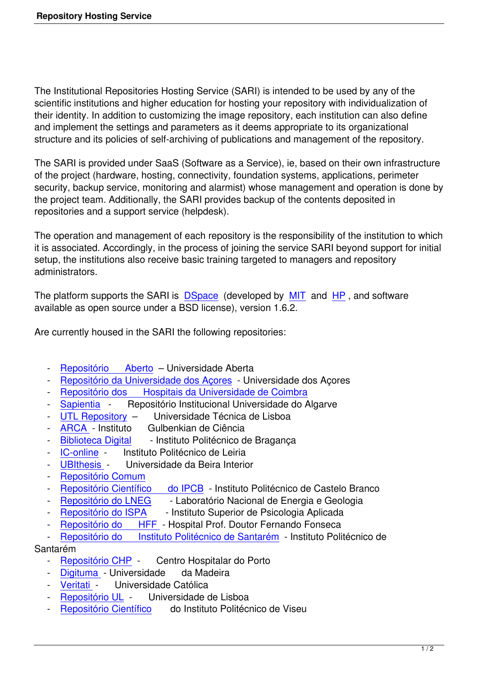The Institutional Repositories Hosting Service (SARI) is intended to be used by any of the scientific institutions and higher education for hosting your repository with individualization of their identity. In addition to customizing the image repository, each institution can also define and implement the settings and parameters as it deems appropriate to its organizational structure and its policies of self-archiving of publications and management of the repository.

The SARI is provided under SaaS (Software as a Service), ie, based on their own infrastructure of the project (hardware, hosting, connectivity, foundation systems, applications, perimeter security, backup service, monitoring and alarmist) whose management and operation is done by the project team. Additionally, the SARI provides backup of the contents deposited in repositories and a support service (helpdesk).

The operation and management of each repository is the responsibility of the institution to which it is associated. Accordingly, in the process of joining the service SARI beyond support for initial setup, the institutions also receive basic training targeted to managers and repository administrators.

The platform supports the SARI is **DSpace** (developed by MIT and HP, and software available as open source under a BSD license), version 1.6.2.

Are currently housed in the SARI t[he followi](http://www.dspace.org/)ng repositories:

- Repositório Aberto Universidade Aberta
- Repositório da Universidade dos Açores Universidade dos Açores
- Repositório dos Hospitais da Universidade de Coimbra
- Sapientia Repositório Institucional Universidade do Algarve
- [UTL Repository Universidade Técn](http://repositorio.uac.pt/)ica de Lisboa
- [ARCA Instituto Gulbenkian de Ciência](http://rihuc.huc.min-saude.pt/)
- [Biblioteca](http://sapientia.ualg.pt/) Digital Instituto Politécnico de Bragança
- [IC-online In](http://www.repository.utl.pt/)stituto Politécnico de Leiria
- [UBIthes](http://arca.igc.gulbenkian.pt/)is Universidade da Beira Interior
- [Repositório Com](http://bibliotecadigital.ipb.pt/)um
- [Repositór](http://iconline.ipleiria.pt/)io Científico do IPCB Instituto Politécnico de Castelo Branco
- [Repositório](http://ubithesis.ubi.pt/) do LNEG Laboratório Nacional de Energia e Geologia
- [Repositório do ISPA](http://comum.rcaap.pt/) Instituto Superior de Psicologia Aplicada
- [Repositório do HFF Hospital](http://repositorio.ipcb.pt/) Prof. Doutor Fernando Fonseca
- [Repositório do Ins](http://repositorio.lneg.pt/)tituto Politécnico de Santarém Instituto Politécnico de

## Santa[rém](http://repositorio.ispa.pt/)

- [Repositório CHP](http://repositorio.hff.min-saude.pt/) Centro Hospitalar do Porto
- Digituma Universidade da Madeira
- Veritati Universidade Católica
- [Repositório UL -](http://repositorio.chporto.pt/) Universidade de Lisboa<br>- Repositório Científico do Instituto Politécr
- do Instituto Politécnico de Viseu